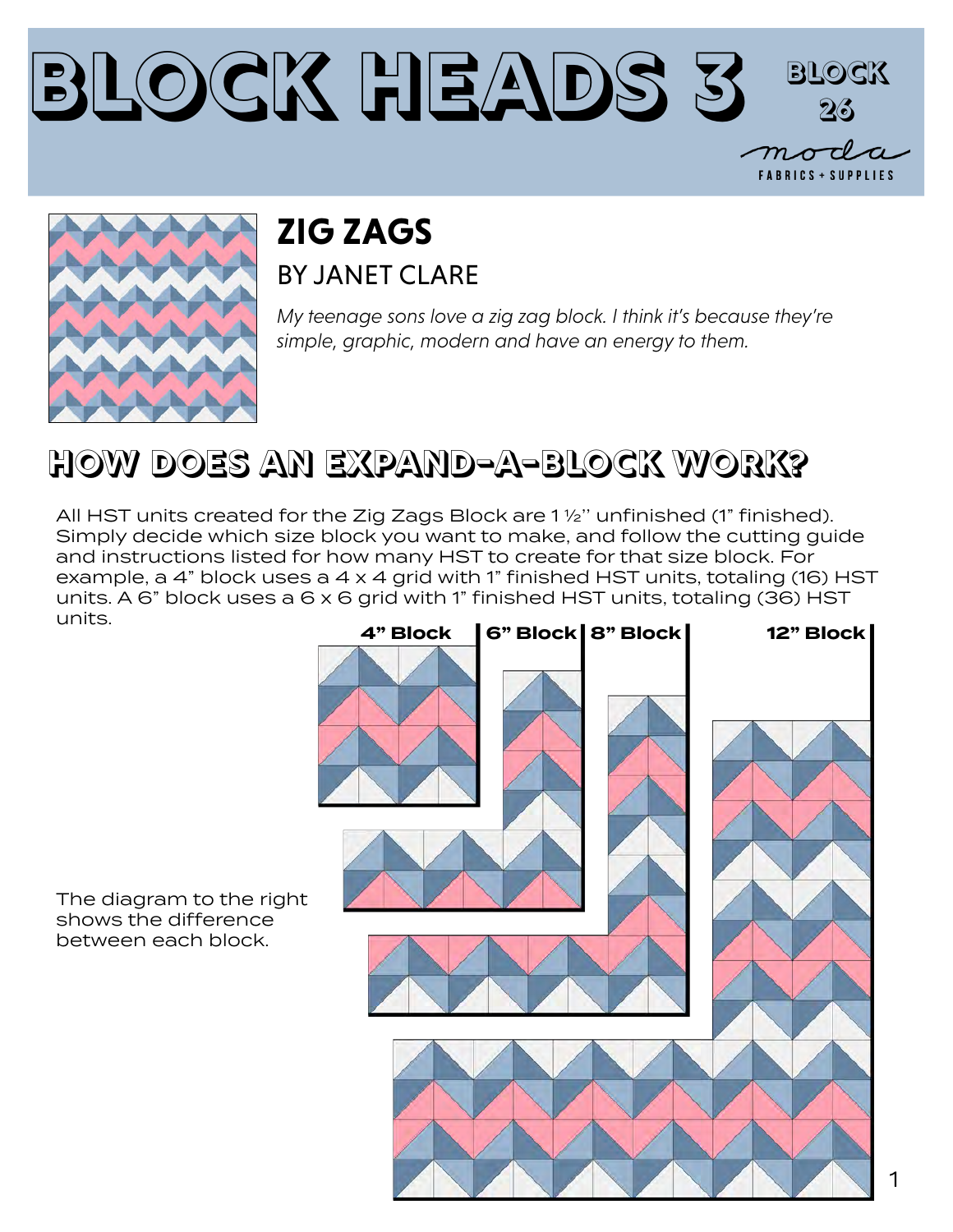



### **ZIG ZAGS** BY JANFT CLARE

*My teenage sons love a zig zag block. I think it's because they're simple, graphic, modern and have an energy to them.*

### **HOW DOES AN EXPAND-A-BLOCK WORK?**

All HST units created for the Zig Zags Block are 1 ½'' unfinished (1" finished). Simply decide which size block you want to make, and follow the cutting guide and instructions listed for how many HST to create for that size block. For example, a 4" block uses a 4 x 4 grid with 1" finished HST units, totaling (16) HST units. A 6" block uses a 6 x 6 grid with 1" finished HST units, totaling (36) HST units.



The diagram to the right shows the difference between each block.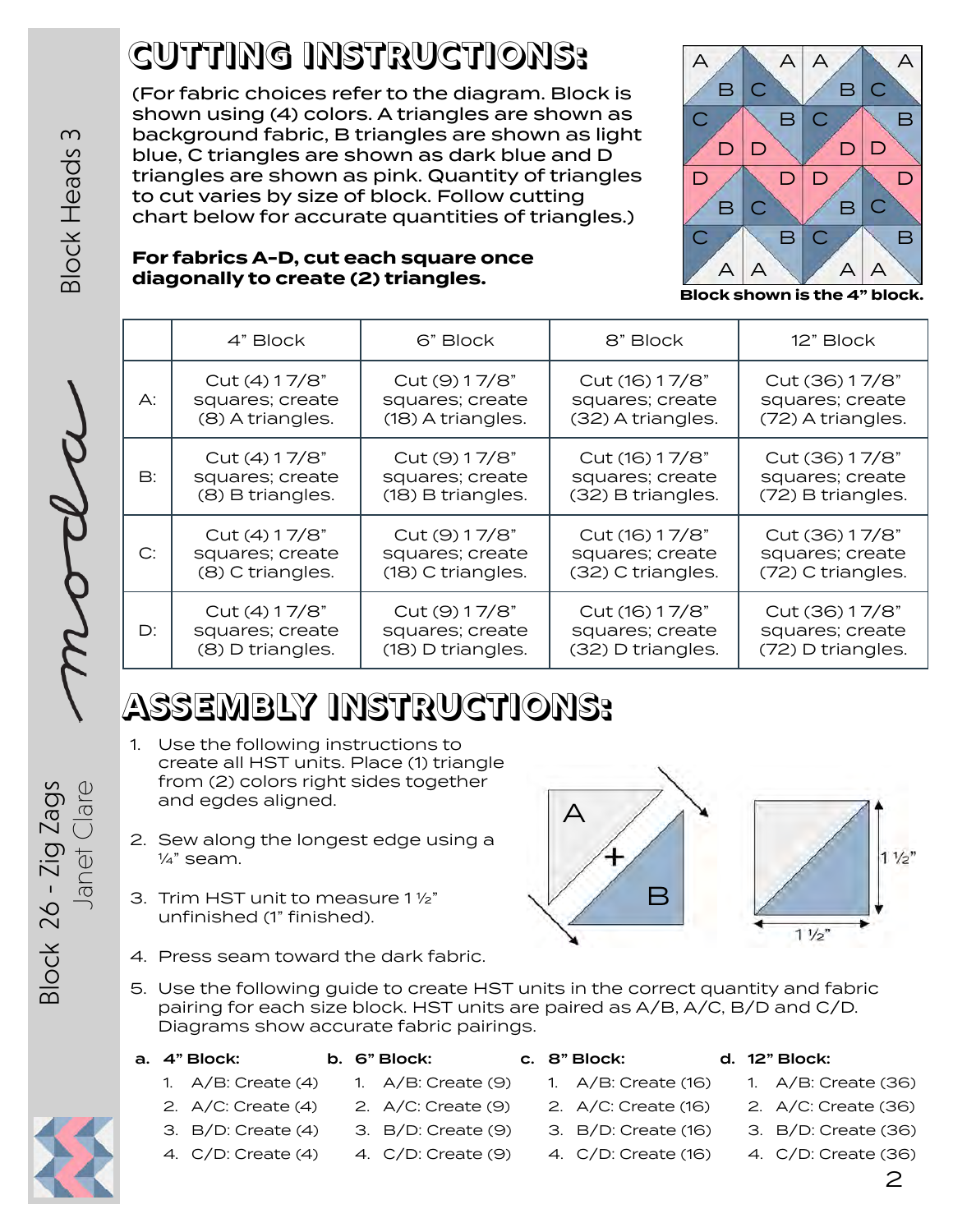# **CUTTING INSTRUCTIONS:**

(For fabric choices refer to the diagram. Block is shown using (4) colors. A triangles are shown as background fabric, B triangles are shown as light blue, C triangles are shown as dark blue and D triangles are shown as pink. Quantity of triangles to cut varies by size of block. Follow cutting chart below for accurate quantities of triangles.)



**Block shown is the 4" block.**

#### **For fabrics A-D, cut each square once diagonally to create (2) triangles.**

|    | 4" Block         | 6" Block          | 8" Block          | 12" Block         |
|----|------------------|-------------------|-------------------|-------------------|
| А: | Cut (4) 17/8"    | Cut (9) 17/8"     | Cut (16) 17/8"    | Cut (36) 17/8"    |
|    | squares; create  | squares; create   | squares; create   | squares; create   |
|    | (8) A triangles. | (18) A triangles. | (32) A triangles. | (72) A triangles. |
| B: | Cut (4) 17/8"    | Cut (9) 17/8"     | Cut (16) 17/8"    | Cut (36) 17/8"    |
|    | squares; create  | squares; create   | squares; create   | squares; create   |
|    | (8) B triangles. | (18) B triangles. | (32) B triangles. | (72) B triangles. |
| C: | Cut (4) 17/8"    | Cut (9) 17/8"     | Cut (16) 17/8"    | Cut (36) 17/8"    |
|    | squares; create  | squares; create   | squares; create   | squares; create   |
|    | (8) C triangles. | (18) C triangles. | (32) C triangles. | (72) C triangles. |
| D: | Cut (4) 17/8"    | Cut (9) 17/8"     | Cut (16) 17/8"    | Cut (36) 17/8"    |
|    | squares; create  | squares; create   | squares; create   | squares; create   |
|    | (8) D triangles. | (18) D triangles. | (32) D triangles. | (72) D triangles. |

## **ASSEMBLY INSTRUCTIONS:**

- 1. Use the following instructions to create all HST units. Place (1) triangle from (2) colors right sides together and egdes aligned.
- 2. Sew along the longest edge using a  $\frac{1}{4}$ " seam.
- 3. Trim HST unit to measure 1 ½" unfinished (1" finished).



- 4. Press seam toward the dark fabric.
- 5. Use the following guide to create HST units in the correct quantity and fabric pairing for each size block. HST units are paired as A/B, A/C, B/D and C/D. Diagrams show accurate fabric pairings.

|  | a. 4" Block: |
|--|--------------|
|  |              |

- b. 6" Block:
- 1. A/B: Create (9)
- 1. A/B: Create (4) 2. A/C: Create (4)
- 3. B/D: Create (4) 2. A/C: Create (9)
	- 3. B/D: Create (9)
- 4. C/D: Create (4) 4. C/D: Create (9)
- c. 8" Block:

1. A/B: Create (16) 2. A/C: Create (16) 3. B/D: Create (16) 4. C/D: Create (16)

- d. 12" Block:
	- 1. A/B: Create (36)
	- 2. A/C: Create (36)
	- 3. B/D: Create (36)
	- 4. C/D: Create (36)





 $3$ lock  $26 - ZigZags$ Block 26 - Zig Zags lanet Clare